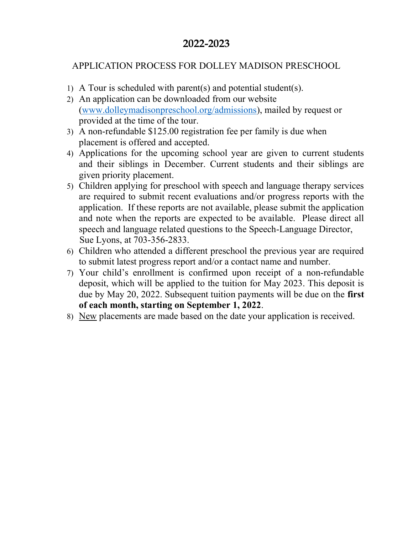# 2022-2023

# APPLICATION PROCESS FOR DOLLEY MADISON PRESCHOOL

- 1) A Tour is scheduled with parent(s) and potential student(s).
- 2) An application can be downloaded from our website (www.dolleymadisonpreschool.org/admissions), mailed by request or provided at the time of the tour.
- 3) A non-refundable \$125.00 registration fee per family is due when placement is offered and accepted.
- 4) Applications for the upcoming school year are given to current students and their siblings in December. Current students and their siblings are given priority placement.
- 5) Children applying for preschool with speech and language therapy services are required to submit recent evaluations and/or progress reports with the application. If these reports are not available, please submit the application and note when the reports are expected to be available. Please direct all speech and language related questions to the Speech-Language Director, Sue Lyons, at 703-356-2833.
- 6) Children who attended a different preschool the previous year are required to submit latest progress report and/or a contact name and number.
- 7) Your child's enrollment is confirmed upon receipt of a non-refundable deposit, which will be applied to the tuition for May 2023. This deposit is due by May 20, 2022. Subsequent tuition payments will be due on the first of each month, starting on September 1, 2022.
- 8) New placements are made based on the date your application is received.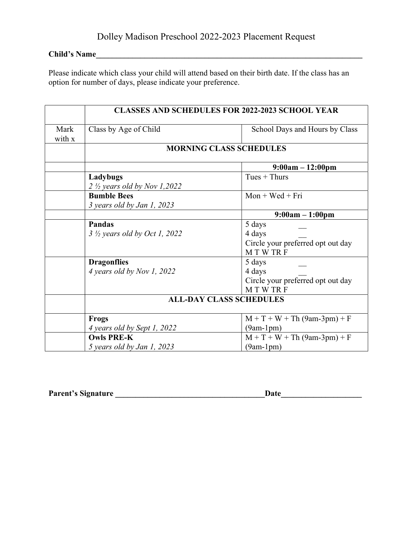# Child's Name

Please indicate which class your child will attend based on their birth date. If the class has an option for number of days, please indicate your preference.

|                | <b>CLASSES AND SCHEDULES FOR 2022-2023 SCHOOL YEAR</b> |                                   |  |
|----------------|--------------------------------------------------------|-----------------------------------|--|
| Mark<br>with x | Class by Age of Child                                  | School Days and Hours by Class    |  |
|                | <b>MORNING CLASS SCHEDULES</b>                         |                                   |  |
|                |                                                        | $9:00am - 12:00pm$                |  |
|                | Ladybugs                                               | Tues $+$ Thurs                    |  |
|                | $2 \frac{1}{2}$ years old by Nov 1,2022                |                                   |  |
|                | <b>Bumble Bees</b>                                     | $Mon + Wed + Fri$                 |  |
|                | 3 years old by Jan 1, 2023                             |                                   |  |
|                |                                                        | $9:00am - 1:00pm$                 |  |
|                | <b>Pandas</b>                                          | 5 days                            |  |
|                | $3 \frac{1}{2}$ years old by Oct 1, 2022               | 4 days                            |  |
|                |                                                        | Circle your preferred opt out day |  |
|                |                                                        | MTWTRF                            |  |
|                | <b>Dragonflies</b>                                     | 5 days                            |  |
|                | 4 years old by Nov 1, 2022                             | 4 days                            |  |
|                |                                                        | Circle your preferred opt out day |  |
|                |                                                        | MTWTRF                            |  |
|                |                                                        | <b>ALL-DAY CLASS SCHEDULES</b>    |  |
|                | <b>Frogs</b>                                           | $M + T + W + Th (9am-3pm) + F$    |  |
|                | 4 years old by Sept 1, 2022                            | $(9am-1pm)$                       |  |
|                | <b>Owls PRE-K</b>                                      | $M + T + W + Th (9am-3pm) + F$    |  |
|                | 5 years old by Jan 1, 2023                             | $(9am-1pm)$                       |  |

|  | <b>Parent's Signature</b> |
|--|---------------------------|
|--|---------------------------|

 $\textbf{Date}$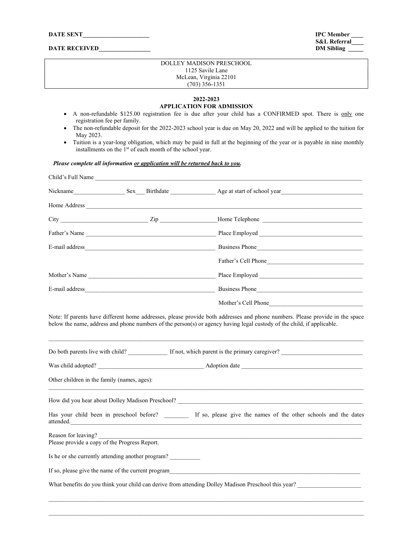#### DATE RECEIVED\_

 $IPC$  Member S&L Referral\_<br>DM Sibling

#### DOLLEY MADISON PRESCHOOL 1125 Savile Lane McLean, Virginia 22101 (703) 356-1351

#### 2022-2023 APPLICATION FOR ADMISSION

- A non-refundable \$125.00 registration fee is due after your child has a CONFIRMED spot. There is only one registration fee per family.
- The non-refundable deposit for the 2022-2023 school year is due on May 20, 2022 and will be applied to the tuition for May 2023.
- Tuition is a year-long obligation, which may be paid in full at the beginning of the year or is payable in nine monthly installments on the 1<sup>st</sup> of each month of the school year.

#### Please complete all information or application will be returned back to you.

| Child's Full Name                                                    |                                                   |                                                                                                                   |
|----------------------------------------------------------------------|---------------------------------------------------|-------------------------------------------------------------------------------------------------------------------|
|                                                                      |                                                   |                                                                                                                   |
|                                                                      |                                                   |                                                                                                                   |
|                                                                      |                                                   |                                                                                                                   |
|                                                                      |                                                   | Father's Name Place Employed Place Employed                                                                       |
|                                                                      |                                                   |                                                                                                                   |
|                                                                      |                                                   | Father's Cell Phone                                                                                               |
|                                                                      | Mother's Name                                     |                                                                                                                   |
|                                                                      |                                                   | Business Phone                                                                                                    |
|                                                                      |                                                   | Mother's Cell Phone                                                                                               |
|                                                                      |                                                   | Do both parents live with child? If not, which parent is the primary caregiver?                                   |
|                                                                      |                                                   |                                                                                                                   |
| Other children in the family (names, ages):                          |                                                   |                                                                                                                   |
|                                                                      |                                                   |                                                                                                                   |
|                                                                      | attended.                                         | Has your child been in preschool before? ________ If so, please give the names of the other schools and the dates |
| Reason for leaving?<br>Please provide a copy of the Progress Report. |                                                   |                                                                                                                   |
|                                                                      | Is he or she currently attending another program? |                                                                                                                   |
|                                                                      |                                                   | If so, please give the name of the current program                                                                |
|                                                                      |                                                   |                                                                                                                   |
|                                                                      |                                                   |                                                                                                                   |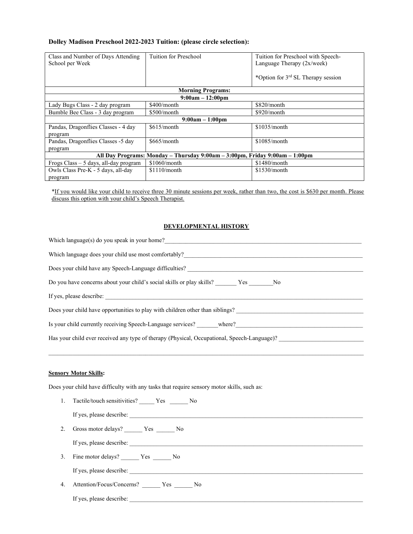## Dolley Madison Preschool 2022-2023 Tuition: (please circle selection):

| Class and Number of Days Attending<br>School per Week                       | Tuition for Preschool    | Tuition for Preschool with Speech-<br>Language Therapy $(2x/week)$<br>*Option for 3 <sup>rd</sup> SL Therapy session |  |
|-----------------------------------------------------------------------------|--------------------------|----------------------------------------------------------------------------------------------------------------------|--|
|                                                                             | <b>Morning Programs:</b> |                                                                                                                      |  |
| $9:00am - 12:00pm$                                                          |                          |                                                                                                                      |  |
| Lady Bugs Class - 2 day program                                             | $$400/m$ onth            | \$820/month                                                                                                          |  |
| Bumble Bee Class - 3 day program                                            | \$500/month              | \$920/month                                                                                                          |  |
| $9:00am - 1:00pm$                                                           |                          |                                                                                                                      |  |
| Pandas, Dragonflies Classes - 4 day<br>program                              | $$615/m$ onth            | \$1035/month                                                                                                         |  |
| Pandas, Dragonflies Classes -5 day                                          | \$665/month              | \$1085/month                                                                                                         |  |
| program                                                                     |                          |                                                                                                                      |  |
| All Day Programs: Monday – Thursday 9:00am – 3:00pm, Friday 9:00am – 1:00pm |                          |                                                                                                                      |  |
| Frogs Class $-5$ days, all-day program                                      | $$1060/m$ onth           | \$1480/month                                                                                                         |  |
| Owls Class Pre-K - 5 days, all-day                                          | $$1110/m$ onth           | \$1530/month                                                                                                         |  |
| program                                                                     |                          |                                                                                                                      |  |

\*If you would like your child to receive three 30 minute sessions per week, rather than two, the cost is \$630 per month. Please discuss this option with your child's Speech Therapist.

### DEVELOPMENTAL HISTORY

| Which language(s) do you speak in your home?                                                |  |  |
|---------------------------------------------------------------------------------------------|--|--|
| Which language does your child use most comfortably?                                        |  |  |
| Does your child have any Speech-Language difficulties?                                      |  |  |
| Do you have concerns about your child's social skills or play skills? Yes No                |  |  |
| If yes, please describe:                                                                    |  |  |
| Does your child have opportunities to play with children other than siblings?               |  |  |
| Is your child currently receiving Speech-Language services? where?                          |  |  |
| Has your child ever received any type of therapy (Physical, Occupational, Speech-Language)? |  |  |
|                                                                                             |  |  |

### Sensory Motor Skills:

Does your child have difficulty with any tasks that require sensory motor skills, such as:

| 1. Tactile/touch sensitivities? Yes No      |
|---------------------------------------------|
|                                             |
|                                             |
|                                             |
| 3. Fine motor delays? Yes No                |
| If yes, please describe:                    |
| 4. Attention/Focus/Concerns? _______ Yes No |
| If yes, please describe:                    |